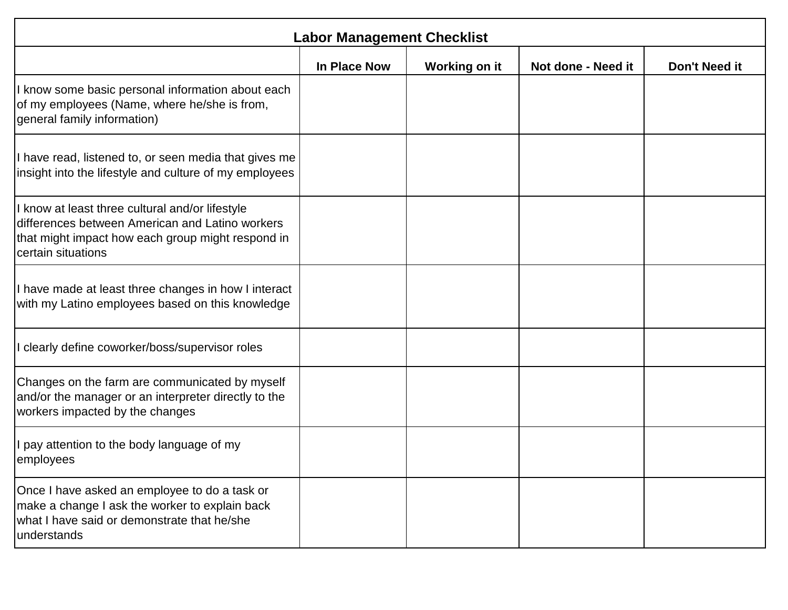| <b>Labor Management Checklist</b>                                                                                                                                           |                     |               |                    |               |
|-----------------------------------------------------------------------------------------------------------------------------------------------------------------------------|---------------------|---------------|--------------------|---------------|
|                                                                                                                                                                             | <b>In Place Now</b> | Working on it | Not done - Need it | Don't Need it |
| know some basic personal information about each<br>of my employees (Name, where he/she is from,<br>general family information)                                              |                     |               |                    |               |
| I have read, listened to, or seen media that gives me<br>insight into the lifestyle and culture of my employees                                                             |                     |               |                    |               |
| know at least three cultural and/or lifestyle<br>differences between American and Latino workers<br>that might impact how each group might respond in<br>certain situations |                     |               |                    |               |
| I have made at least three changes in how I interact<br>with my Latino employees based on this knowledge                                                                    |                     |               |                    |               |
| clearly define coworker/boss/supervisor roles                                                                                                                               |                     |               |                    |               |
| Changes on the farm are communicated by myself<br>and/or the manager or an interpreter directly to the<br>workers impacted by the changes                                   |                     |               |                    |               |
| pay attention to the body language of my<br>employees                                                                                                                       |                     |               |                    |               |
| Once I have asked an employee to do a task or<br>make a change I ask the worker to explain back<br>what I have said or demonstrate that he/she<br>understands               |                     |               |                    |               |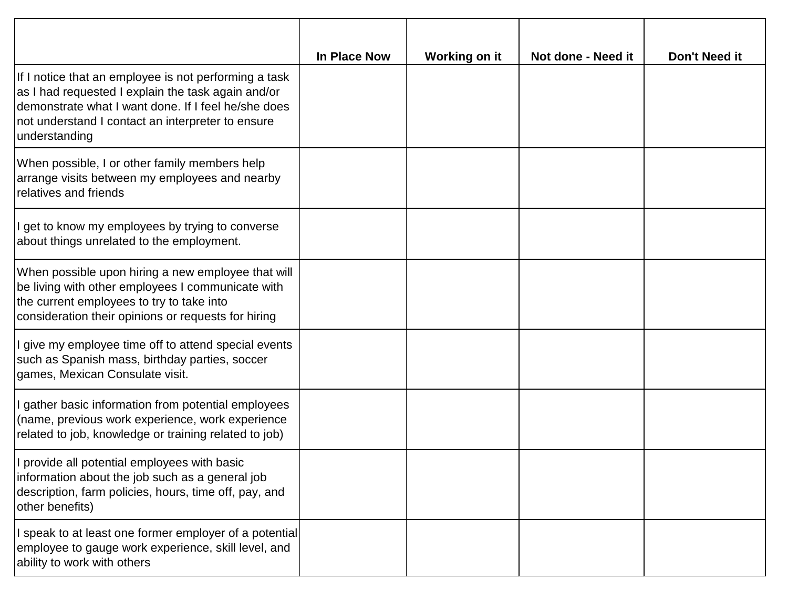|                                                                                                                                                                                                                                          | In Place Now | Working on it | Not done - Need it | <b>Don't Need it</b> |
|------------------------------------------------------------------------------------------------------------------------------------------------------------------------------------------------------------------------------------------|--------------|---------------|--------------------|----------------------|
| If I notice that an employee is not performing a task<br>as I had requested I explain the task again and/or<br>demonstrate what I want done. If I feel he/she does<br>not understand I contact an interpreter to ensure<br>understanding |              |               |                    |                      |
| When possible, I or other family members help<br>arrange visits between my employees and nearby<br>relatives and friends                                                                                                                 |              |               |                    |                      |
| get to know my employees by trying to converse<br>about things unrelated to the employment.                                                                                                                                              |              |               |                    |                      |
| When possible upon hiring a new employee that will<br>be living with other employees I communicate with<br>the current employees to try to take into<br>consideration their opinions or requests for hiring                              |              |               |                    |                      |
| I give my employee time off to attend special events<br>such as Spanish mass, birthday parties, soccer<br>games, Mexican Consulate visit.                                                                                                |              |               |                    |                      |
| gather basic information from potential employees<br>(name, previous work experience, work experience<br>related to job, knowledge or training related to job)                                                                           |              |               |                    |                      |
| I provide all potential employees with basic<br>information about the job such as a general job<br>description, farm policies, hours, time off, pay, and<br>other benefits)                                                              |              |               |                    |                      |
| I speak to at least one former employer of a potential<br>employee to gauge work experience, skill level, and<br>ability to work with others                                                                                             |              |               |                    |                      |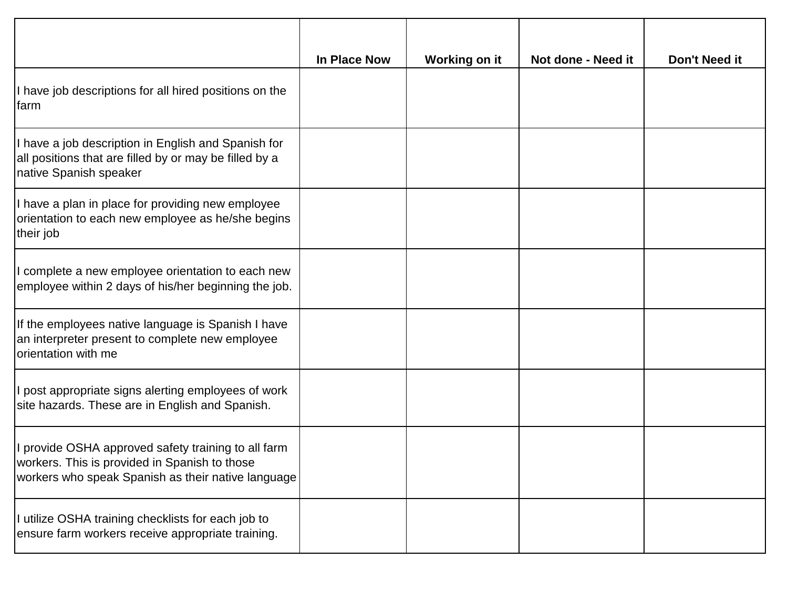|                                                                                                                                                            | <b>In Place Now</b> | Working on it | Not done - Need it | Don't Need it |
|------------------------------------------------------------------------------------------------------------------------------------------------------------|---------------------|---------------|--------------------|---------------|
| I have job descriptions for all hired positions on the<br>farm                                                                                             |                     |               |                    |               |
| I have a job description in English and Spanish for<br>all positions that are filled by or may be filled by a<br>native Spanish speaker                    |                     |               |                    |               |
| I have a plan in place for providing new employee<br>orientation to each new employee as he/she begins<br>their job                                        |                     |               |                    |               |
| I complete a new employee orientation to each new<br>employee within 2 days of his/her beginning the job.                                                  |                     |               |                    |               |
| If the employees native language is Spanish I have<br>an interpreter present to complete new employee<br>orientation with me                               |                     |               |                    |               |
| I post appropriate signs alerting employees of work<br>site hazards. These are in English and Spanish.                                                     |                     |               |                    |               |
| I provide OSHA approved safety training to all farm<br>workers. This is provided in Spanish to those<br>workers who speak Spanish as their native language |                     |               |                    |               |
| I utilize OSHA training checklists for each job to<br>ensure farm workers receive appropriate training.                                                    |                     |               |                    |               |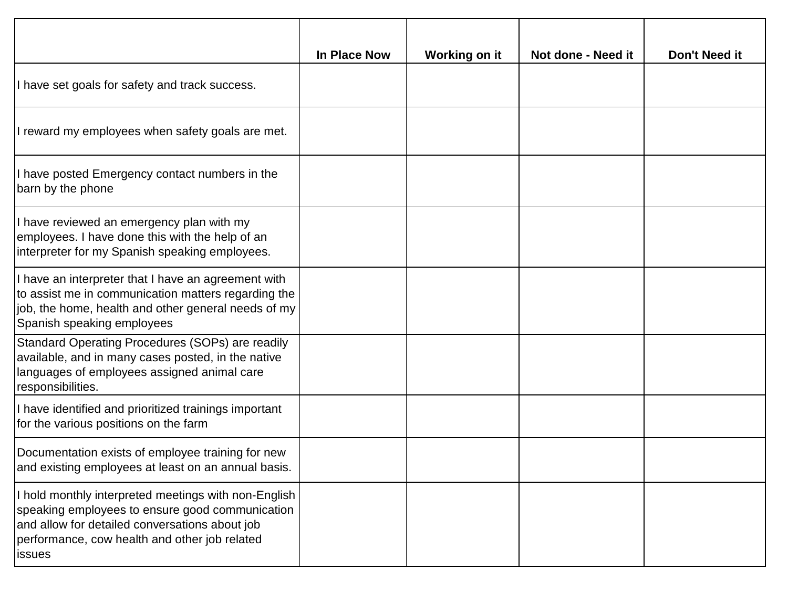|                                                                                                                                                                                                                             | In Place Now | Working on it | Not done - Need it | Don't Need it |
|-----------------------------------------------------------------------------------------------------------------------------------------------------------------------------------------------------------------------------|--------------|---------------|--------------------|---------------|
| I have set goals for safety and track success.                                                                                                                                                                              |              |               |                    |               |
| I reward my employees when safety goals are met.                                                                                                                                                                            |              |               |                    |               |
| I have posted Emergency contact numbers in the<br>barn by the phone                                                                                                                                                         |              |               |                    |               |
| I have reviewed an emergency plan with my<br>employees. I have done this with the help of an<br>interpreter for my Spanish speaking employees.                                                                              |              |               |                    |               |
| I have an interpreter that I have an agreement with<br>to assist me in communication matters regarding the<br>job, the home, health and other general needs of my<br>Spanish speaking employees                             |              |               |                    |               |
| Standard Operating Procedures (SOPs) are readily<br>available, and in many cases posted, in the native<br>languages of employees assigned animal care<br>responsibilities.                                                  |              |               |                    |               |
| I have identified and prioritized trainings important<br>for the various positions on the farm                                                                                                                              |              |               |                    |               |
| Documentation exists of employee training for new<br>and existing employees at least on an annual basis.                                                                                                                    |              |               |                    |               |
| I hold monthly interpreted meetings with non-English<br>speaking employees to ensure good communication<br>and allow for detailed conversations about job<br>performance, cow health and other job related<br><b>issues</b> |              |               |                    |               |